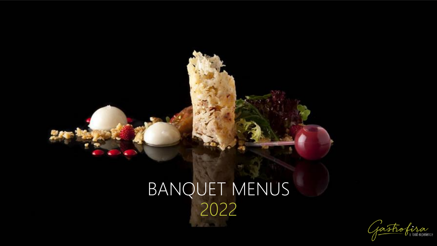

# BANQUET MENUS 2022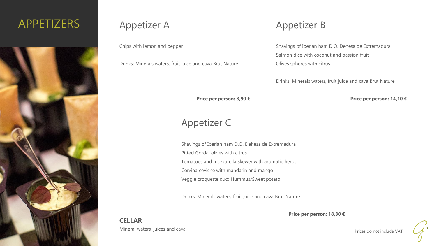# APPETIZERS



### Appetizer A

Chips with lemon and pepper

Drinks: Minerals waters, fruit juice and cava Brut Nature

### Appetizer B

Shavings of Iberian ham D.O. Dehesa de Extremadura Salmon dice with coconut and passion fruit Olives spheres with citrus

Drinks: Minerals waters, fruit juice and cava Brut Nature

**Price per person: 8,90 €**

# Appetizer C

Shavings of Iberian ham D.O. Dehesa de Extremadura Pitted Gordal olives with citrus Tomatoes and mozzarella skewer with aromatic herbs Corvina ceviche with mandarin and mango Veggie croquette duo: Hummus/Sweet potato

Drinks: Minerals waters, fruit juice and cava Brut Nature

**Price per person: 18,30 €**

**CELLAR** Mineral waters, juices and cava

Prices do not include VAT

**Price per person: 14,10 €**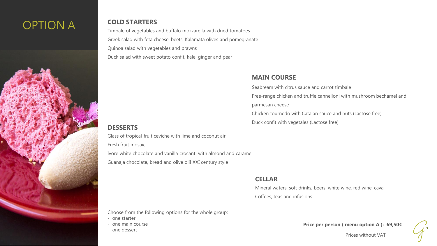# OPTION A **COLD STARTERS**

Timbale of vegetables and buffalo mozzarella with dried tomatoes Greek salad with feta cheese, beets, Kalamata olives and pomegranate Quinoa salad with vegetables and prawns Duck salad with sweet potato confit, kale, ginger and pear

#### **MAIN COURSE**

Duck confit with vegetales (Lactose free)

Seabream with citrus sauce and carrot timbale Free-range chicken and truffle cannelloni with mushroom bechamel and parmesan cheese Chicken tournedó with Catalan sauce and nuts (Lactose free)

#### **DESSERTS**

Glass of tropical fruit ceviche with lime and coconut air

Fresh fruit mosaic

Ivore white chocolate and vanilla crocanti with almond and caramel Guanaja chocolate, bread and olive olil XXI century style

#### **CELLAR**

Mineral waters, soft drinks, beers, white wine, red wine, cava Coffees, teas and infusions

Choose from the following options for the whole group:

- one starter
- one main course
- one dessert

**Price per person ( menu option A ): 69,50€**

Prices without VAT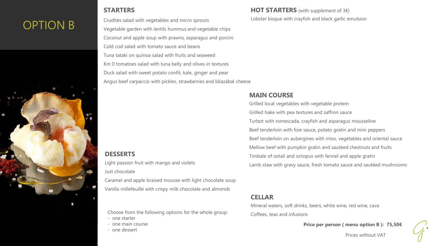# OPTION B

#### **STARTERS**

Crudités salad with vegetables and micro sprouts Vegetable garden with lentils hummus and vegetable chips Coconut and apple soup with prawns, asparagus and porcini Cold cod salad with tomato sauce and beans Tuna tataki on quinoa salad with fruits and seaweed Km 0 tomatoes salad with tuna belly and olives in textures Duck salad with sweet potato confit, kale, ginger and pear Angus beef carpaccio with pickles, strawberries and Idiazábal cheese

#### **DESSERTS**

Light passion fruit with mango and violets Just chocolate Caramel and apple braised mousse with light chocolate soup Vanilla millefeuille with crispy milk chocolate and almonds

Choose from the following options for the whole group:

- one starter
- one main course
- one dessert

#### HOT STARTERS (with supplement of 3€) Lobster bisque with crayfish and black garlic emulsion

#### **MAIN COURSE**

Grilled local vegetables with vegetable protein Grilled hake with pea textures and saffron sauce Turbot with romescada, crayfish and asparagus mousseline Beef tenderloin with foie sauce, potato gratin and mini peppers Beef tenderloin on aubergines with miso, vegetables and oriental sauce Mellow beef with pumpkin gratin and sautéed chestnuts and fruits Timbale of oxtail and octopus with fennel and apple gratin Lamb staw with gravy sauce, fresh tomato sauce and sautéed mushrooms

#### **CELLAR**

Mineral waters, soft drinks, beers, white wine, red wine, cava Coffees, teas and infusions

**Price per person ( menu option B ): 75,50€**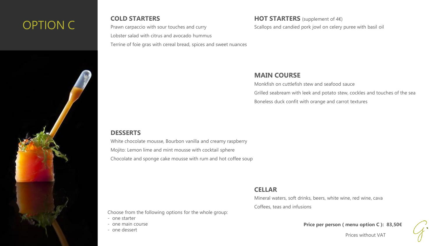# OPTION C

#### **COLD STARTERS**

Prawn carpaccio with sour touches and curry Lobster salad with citrus and avocado hummus

Terrine of foie gras with cereal bread, spices and sweet nuances

#### **HOT STARTERS** (supplement of 4€)

Scallops and candied pork jowl on celery puree with basil oil

#### **MAIN COURSE**

Monkfish on cuttlefish stew and seafood sauce

Grilled seabream with leek and potato stew, cockles and touches of the sea Boneless duck confit with orange and carrot textures

#### **DESSERTS**

White chocolate mousse, Bourbon vanilla and creamy raspberry Mojito: Lemon lime and mint mousse with cocktail sphere Chocolate and sponge cake mousse with rum and hot coffee soup

#### **CELLAR**

Choose from the following options for the whole group:

- one starter
- one main course
- one dessert

Mineral waters, soft drinks, beers, white wine, red wine, cava Coffees, teas and infusions

**Price per person ( menu option C ): 83,50€**

Prices without VAT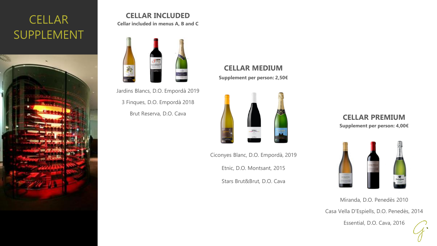# **CELLAR** SUPPLEMENT



### **CELLAR INCLUDED**

**Cellar included in menus A, B and C**



Jardins Blancs, D.O. Empordà 2019 3 Finques, D.O. Empordà 2018 Brut Reserva, D.O. Cava **CELLAR PREMIUM** 

### **CELLAR MEDIUM Supplement per person: 2,50€**



Ciconyes Blanc, D.O. Empordà, 2019 Etnic, D.O. Montsant, 2015

Stars Brut&Brut, D.O. Cava

# **Supplement per person: 4,00€**



Casa Vella D'Espiells, D.O. Penedès, 2014 Miranda, D.O. Penedès 2010

Essential, D.O. Cava, 2016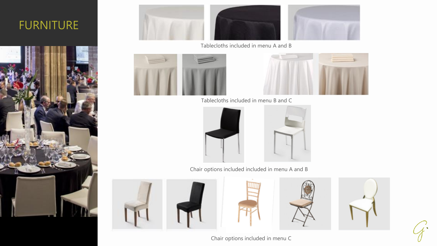# FURNITURE





Tablecloths included in menu A and B





Tablecloths included in menu B and C



Chair options included included in menu A and B









Chair options included in menu C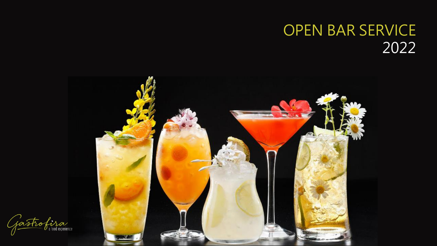# OPEN BAR SERVICE 2022



ofira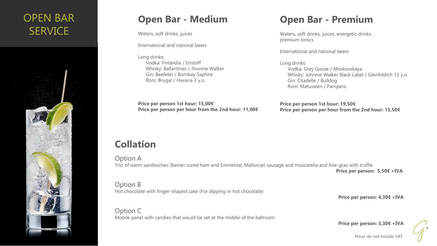# OPEN BAR **SERVICE**



### **Open Bar - Medium**

Waters, soft drinks, juices

International and national beers

Long drinks: Vodka: Finlandia / Eristoff Whisky: Ballantines / Jhonnie Walker Gin: Beefeter / Bombay Saphire Rom: Brugal / Havana 3 y.o.

### **Open Bar - Premium**

Waters, soft drinks, juices, energetic drinks, premium tonics

International and national beers

Long drinks: Vodka: Grey Goose / Moskovskaya Whisky: Johnnie Walker Black Label / Glenfiddich 12 y.o. Gin: Citadelle / Bulldog Rom: Matusalen / Pampero

**Price per person 1st hour: 15,00€ Price per person per hour from the 2nd hour: 11,00€** **Price per person 1st hour: 19,50€ Price per person per hour from the 2nd hour: 15,50€**

## **Collation**

Option A Trio of warm sandwiches: Iberian cured ham and Emmental, Mallorcan sausage and mozzarella and foie-gras with truffle

**Price per person: 5,50€ +IVA** 

Option B Hot chocolate with finger-shaped cake (For dipping in hot chocolate)

Option C Mobile panel with candies that would be set at the middle of the ballroom **Price per person: 4,30€ +IVA** 

**Price per person: 3,30€ +IVA**

Prices do not include VAT